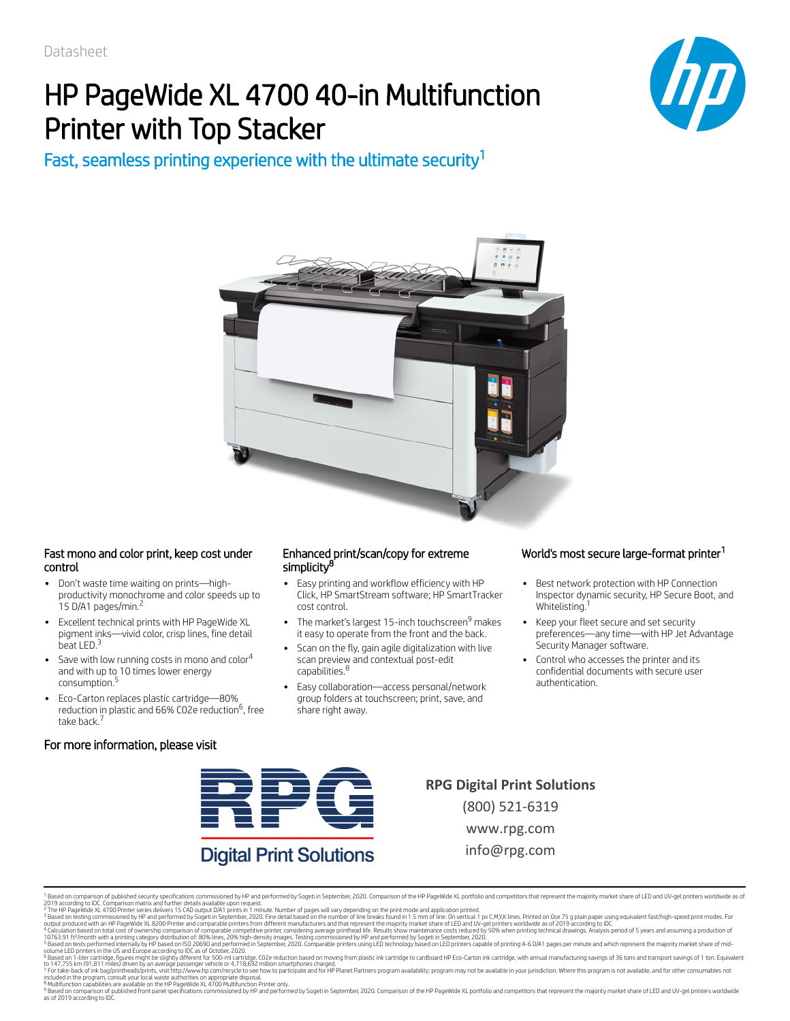# HP PageWide XL 4700 40-in Multifunction Printer with Top Stacker



Fast, seamless printing experience with the ultimate security<sup>1</sup>



## Fast mono and color print, keep cost under control

- Don't waste time waiting on prints—highproductivity monochrome and color speeds up to  $15$  D/A1 pages/min.<sup>2</sup>
- Excellent technical prints with HP PageWide XL  $\bullet$ pigment inks—vivid color, crisp lines, fine detail beat LED.<sup>3</sup>
- Save with low running costs in mono and color<sup>4</sup> and with up to 10 times lower energy consumption. 5
- Eco-Carton replaces plastic cartridge—80% reduction in plastic and 66% C02e reduction<sup>6</sup>, free take back. 7

## Enhanced print/scan/copy for extreme simplicity<sup>8</sup>

- Easy printing and workflow efficiency with HP Click, HP SmartStream software; HP SmartTracker cost control.
- The market's largest 15-inch touchscreen<sup>9</sup> makes it easy to operate from the front and the back.
- Scan on the fly, gain agile digitalization with live scan preview and contextual post-edit capabilities. 8
- Easy collaboration—access personal/network group folders at touchscreen; print, save, and share right away.

## World's most secure large-format printer 1

- Best network protection with HP Connection Inspector dynamic security, HP Secure Boot, and Whitelisting. 1
- Keep your fleet secure and set security preferences—any time—with HP Jet Advantage Security Manager software.
- Control who accesses the printer and its confidential documents with secure user authentication.

## For more information, please visit



**RPG Digital Print Solutions** (800) 521-6319 www.rpg.com info@rpg.com

2 3 4

as of 2019 according to IDC.

<sup>8</sup> Multifunction capabilities are available on the HP PageWide XL 4700 Multifunction Printer only.<br><sup>9</sup> Based on comparison of published front panel specifications commissioned by HP and performed by Sogeti in September, 2

<sup>1</sup>

<sup>5</sup>

<sup>&</sup>lt;sup>1</sup> Based on comparison of published security specifications commissioned by HP and performed by Sogeti in September, 2020. Comparison of the HP PageWide XL portfolio and competitors that represent the majority market shar 6 7